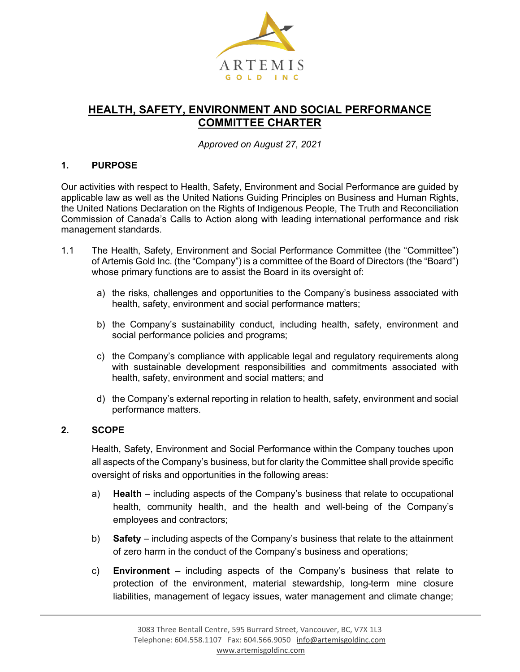

# **HEALTH, SAFETY, ENVIRONMENT AND SOCIAL PERFORMANCE COMMITTEE CHARTER**

*Approved on August 27, 2021*

#### **1. PURPOSE**

Our activities with respect to Health, Safety, Environment and Social Performance are guided by applicable law as well as the United Nations Guiding Principles on Business and Human Rights, the United Nations Declaration on the Rights of Indigenous People, The Truth and Reconciliation Commission of Canada's Calls to Action along with leading international performance and risk management standards.

- 1.1 The Health, Safety, Environment and Social Performance Committee (the "Committee") of Artemis Gold Inc. (the "Company") is a committee of the Board of Directors (the "Board") whose primary functions are to assist the Board in its oversight of:
	- a) the risks, challenges and opportunities to the Company's business associated with health, safety, environment and social performance matters;
	- b) the Company's sustainability conduct, including health, safety, environment and social performance policies and programs;
	- c) the Company's compliance with applicable legal and regulatory requirements along with sustainable development responsibilities and commitments associated with health, safety, environment and social matters; and
	- d) the Company's external reporting in relation to health, safety, environment and social performance matters.

#### **2. SCOPE**

Health, Safety, Environment and Social Performance within the Company touches upon all aspects of the Company's business, but for clarity the Committee shall provide specific oversight of risks and opportunities in the following areas:

- a) **Health**  including aspects of the Company's business that relate to occupational health, community health, and the health and well-being of the Company's employees and contractors;
- b) **Safety**  including aspects of the Company's business that relate to the attainment of zero harm in the conduct of the Company's business and operations;
- c) **Environment** including aspects of the Company's business that relate to protection of the environment, material stewardship, long-term mine closure liabilities, management of legacy issues, water management and climate change;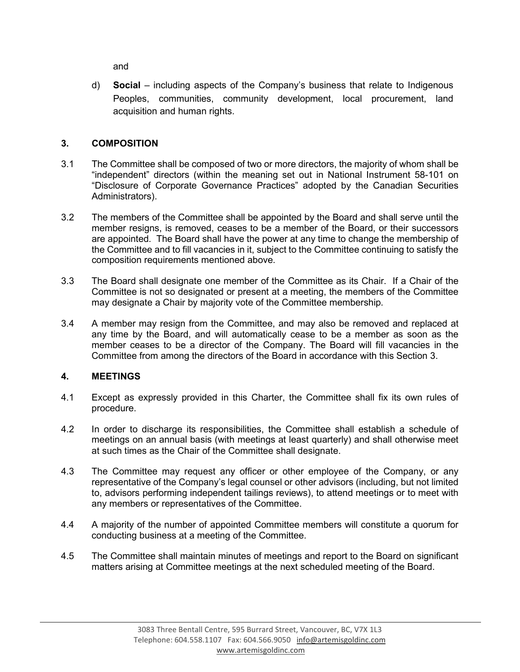and

d) **Social** – including aspects of the Company's business that relate to Indigenous Peoples, communities, community development, local procurement, land acquisition and human rights.

## **3. COMPOSITION**

- 3.1 The Committee shall be composed of two or more directors, the majority of whom shall be "independent" directors (within the meaning set out in National Instrument 58-101 on "Disclosure of Corporate Governance Practices" adopted by the Canadian Securities Administrators).
- 3.2 The members of the Committee shall be appointed by the Board and shall serve until the member resigns, is removed, ceases to be a member of the Board, or their successors are appointed. The Board shall have the power at any time to change the membership of the Committee and to fill vacancies in it, subject to the Committee continuing to satisfy the composition requirements mentioned above.
- 3.3 The Board shall designate one member of the Committee as its Chair. If a Chair of the Committee is not so designated or present at a meeting, the members of the Committee may designate a Chair by majority vote of the Committee membership.
- 3.4 A member may resign from the Committee, and may also be removed and replaced at any time by the Board, and will automatically cease to be a member as soon as the member ceases to be a director of the Company. The Board will fill vacancies in the Committee from among the directors of the Board in accordance with this Section 3.

### **4. MEETINGS**

- 4.1 Except as expressly provided in this Charter, the Committee shall fix its own rules of procedure.
- 4.2 In order to discharge its responsibilities, the Committee shall establish a schedule of meetings on an annual basis (with meetings at least quarterly) and shall otherwise meet at such times as the Chair of the Committee shall designate.
- 4.3 The Committee may request any officer or other employee of the Company, or any representative of the Company's legal counsel or other advisors (including, but not limited to, advisors performing independent tailings reviews), to attend meetings or to meet with any members or representatives of the Committee.
- 4.4 A majority of the number of appointed Committee members will constitute a quorum for conducting business at a meeting of the Committee.
- 4.5 The Committee shall maintain minutes of meetings and report to the Board on significant matters arising at Committee meetings at the next scheduled meeting of the Board.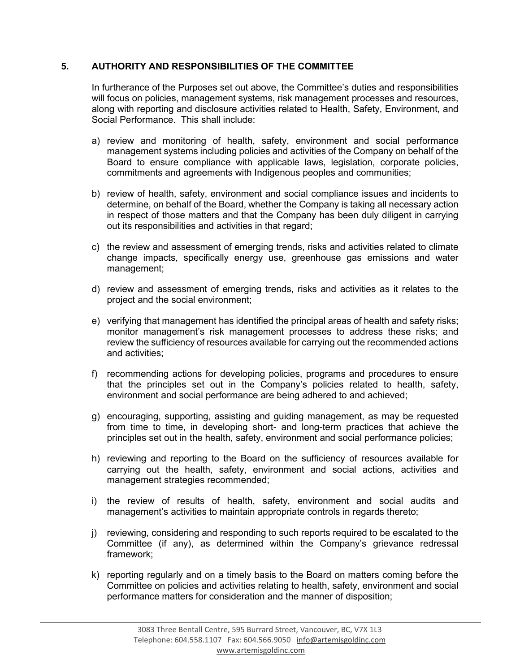### **5. AUTHORITY AND RESPONSIBILITIES OF THE COMMITTEE**

In furtherance of the Purposes set out above, the Committee's duties and responsibilities will focus on policies, management systems, risk management processes and resources, along with reporting and disclosure activities related to Health, Safety, Environment, and Social Performance. This shall include:

- a) review and monitoring of health, safety, environment and social performance management systems including policies and activities of the Company on behalf of the Board to ensure compliance with applicable laws, legislation, corporate policies, commitments and agreements with Indigenous peoples and communities;
- b) review of health, safety, environment and social compliance issues and incidents to determine, on behalf of the Board, whether the Company is taking all necessary action in respect of those matters and that the Company has been duly diligent in carrying out its responsibilities and activities in that regard;
- c) the review and assessment of emerging trends, risks and activities related to climate change impacts, specifically energy use, greenhouse gas emissions and water management;
- d) review and assessment of emerging trends, risks and activities as it relates to the project and the social environment;
- e) verifying that management has identified the principal areas of health and safety risks; monitor management's risk management processes to address these risks; and review the sufficiency of resources available for carrying out the recommended actions and activities;
- f) recommending actions for developing policies, programs and procedures to ensure that the principles set out in the Company's policies related to health, safety, environment and social performance are being adhered to and achieved;
- g) encouraging, supporting, assisting and guiding management, as may be requested from time to time, in developing short- and long-term practices that achieve the principles set out in the health, safety, environment and social performance policies;
- h) reviewing and reporting to the Board on the sufficiency of resources available for carrying out the health, safety, environment and social actions, activities and management strategies recommended;
- i) the review of results of health, safety, environment and social audits and management's activities to maintain appropriate controls in regards thereto;
- j) reviewing, considering and responding to such reports required to be escalated to the Committee (if any), as determined within the Company's grievance redressal framework;
- k) reporting regularly and on a timely basis to the Board on matters coming before the Committee on policies and activities relating to health, safety, environment and social performance matters for consideration and the manner of disposition;